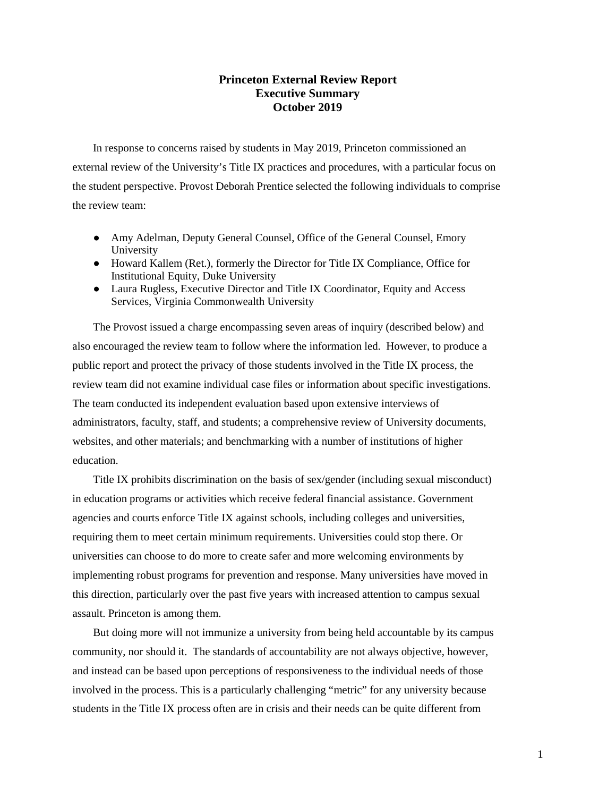## **Princeton External Review Report Executive Summary October 2019**

In response to concerns raised by students in May 2019, Princeton commissioned an external review of the University's Title IX practices and procedures, with a particular focus on the student perspective. Provost Deborah Prentice selected the following individuals to comprise the review team:

- Amy Adelman, Deputy General Counsel, Office of the General Counsel, Emory University
- Howard Kallem (Ret.), formerly the Director for Title IX Compliance, Office for Institutional Equity, Duke University
- Laura Rugless, Executive Director and Title IX Coordinator, Equity and Access Services, Virginia Commonwealth University

The Provost issued a charge encompassing seven areas of inquiry (described below) and also encouraged the review team to follow where the information led. However, to produce a public report and protect the privacy of those students involved in the Title IX process, the review team did not examine individual case files or information about specific investigations. The team conducted its independent evaluation based upon extensive interviews of administrators, faculty, staff, and students; a comprehensive review of University documents, websites, and other materials; and benchmarking with a number of institutions of higher education.

Title IX prohibits discrimination on the basis of sex/gender (including sexual misconduct) in education programs or activities which receive federal financial assistance. Government agencies and courts enforce Title IX against schools, including colleges and universities, requiring them to meet certain minimum requirements. Universities could stop there. Or universities can choose to do more to create safer and more welcoming environments by implementing robust programs for prevention and response. Many universities have moved in this direction, particularly over the past five years with increased attention to campus sexual assault. Princeton is among them.

But doing more will not immunize a university from being held accountable by its campus community, nor should it. The standards of accountability are not always objective, however, and instead can be based upon perceptions of responsiveness to the individual needs of those involved in the process. This is a particularly challenging "metric" for any university because students in the Title IX process often are in crisis and their needs can be quite different from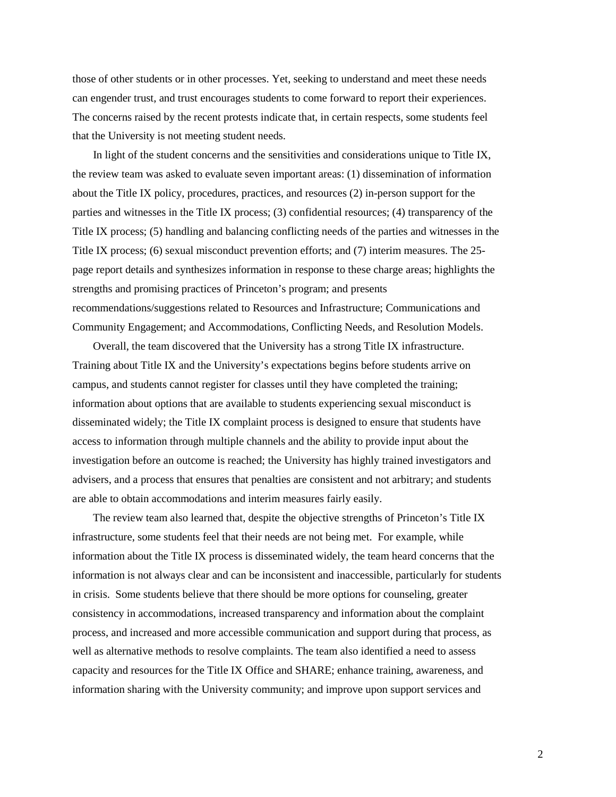those of other students or in other processes. Yet, seeking to understand and meet these needs can engender trust, and trust encourages students to come forward to report their experiences. The concerns raised by the recent protests indicate that, in certain respects, some students feel that the University is not meeting student needs.

In light of the student concerns and the sensitivities and considerations unique to Title IX, the review team was asked to evaluate seven important areas: (1) dissemination of information about the Title IX policy, procedures, practices, and resources (2) in-person support for the parties and witnesses in the Title IX process; (3) confidential resources; (4) transparency of the Title IX process; (5) handling and balancing conflicting needs of the parties and witnesses in the Title IX process; (6) sexual misconduct prevention efforts; and (7) interim measures. The 25 page report details and synthesizes information in response to these charge areas; highlights the strengths and promising practices of Princeton's program; and presents recommendations/suggestions related to Resources and Infrastructure; Communications and Community Engagement; and Accommodations, Conflicting Needs, and Resolution Models.

Overall, the team discovered that the University has a strong Title IX infrastructure. Training about Title IX and the University's expectations begins before students arrive on campus, and students cannot register for classes until they have completed the training; information about options that are available to students experiencing sexual misconduct is disseminated widely; the Title IX complaint process is designed to ensure that students have access to information through multiple channels and the ability to provide input about the investigation before an outcome is reached; the University has highly trained investigators and advisers, and a process that ensures that penalties are consistent and not arbitrary; and students are able to obtain accommodations and interim measures fairly easily.

The review team also learned that, despite the objective strengths of Princeton's Title IX infrastructure, some students feel that their needs are not being met. For example, while information about the Title IX process is disseminated widely, the team heard concerns that the information is not always clear and can be inconsistent and inaccessible, particularly for students in crisis. Some students believe that there should be more options for counseling, greater consistency in accommodations, increased transparency and information about the complaint process, and increased and more accessible communication and support during that process, as well as alternative methods to resolve complaints. The team also identified a need to assess capacity and resources for the Title IX Office and SHARE; enhance training, awareness, and information sharing with the University community; and improve upon support services and